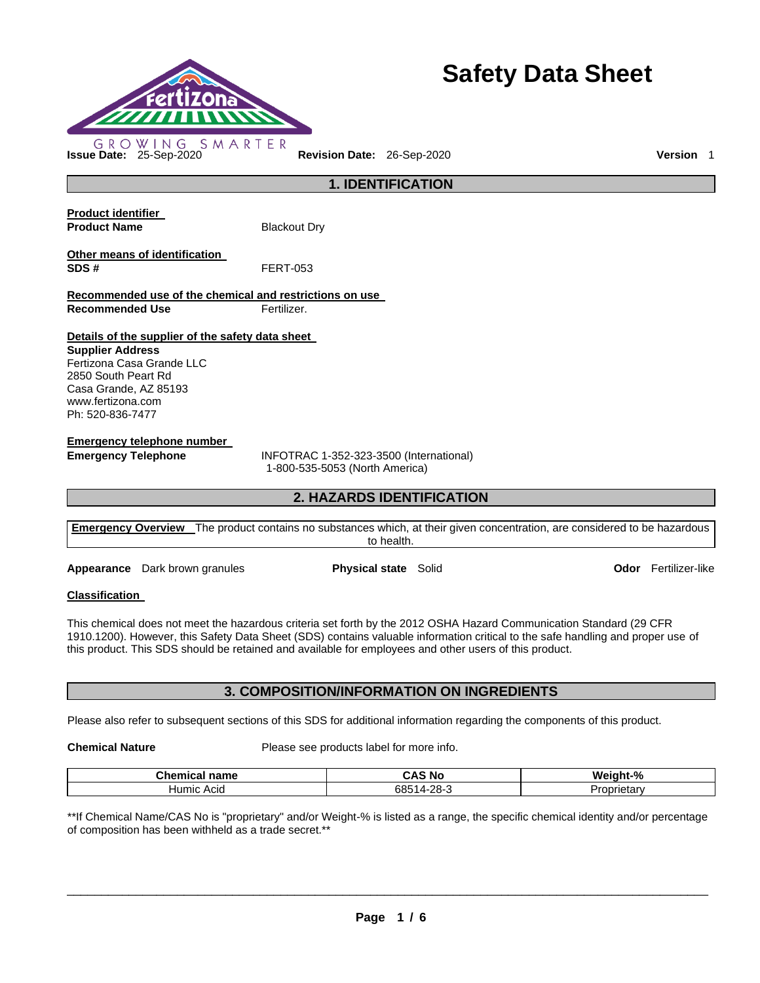

# **Safety Data Sheet**

**1. IDENTIFICATION Product identifier Product Name Blackout Dry** 

**Other means of identification SDS #** FERT-053

**Recommended use of the chemical and restrictions on use Recommended Use Fertilizer.** 

**Details of the supplier of the safety data sheet Supplier Address** Fertizona Casa Grande LLC 2850 South Peart Rd Casa Grande, AZ 85193 www.fertizona.com Ph: 520-836-7477

**Emergency telephone number** 

**Emergency Telephone** INFOTRAC 1-352-323-3500 (International) 1-800-535-5053 (North America)

# **2. HAZARDS IDENTIFICATION**

| <b>Emergency Overview</b> The product contains no substances which, at their given concentration, are considered to be hazardous |
|----------------------------------------------------------------------------------------------------------------------------------|
| to health.                                                                                                                       |

**Appearance** Dark brown granules **Physical state** Solid **Calculation Codor** Fertilizer-like

# **Classification**

This chemical does not meet the hazardous criteria set forth by the 2012 OSHA Hazard Communication Standard (29 CFR 1910.1200). However, this Safety Data Sheet (SDS) contains valuable information critical to the safe handling and proper use of this product. This SDS should be retained and available for employees and other users of this product.

# **3. COMPOSITION/INFORMATION ON INGREDIENTS**

Please also refer to subsequent sections of this SDS for additional information regarding the components of this product.

**Chemical Nature**  Please see products label for more info.

| Chamis-<br>name<br>шсаг | $\sim$ $\cdot$<br>⊟N (<br>.              | Weight-%              |
|-------------------------|------------------------------------------|-----------------------|
| ACIC<br>Humic           | ററ<br>685<br>171<br>$\sim$<br>. .<br>$-$ | <i>corietary</i><br>. |

\*\*If Chemical Name/CAS No is "proprietary" and/or Weight-% is listed as a range, the specific chemical identity and/or percentage of composition has been withheld as a trade secret.\*\*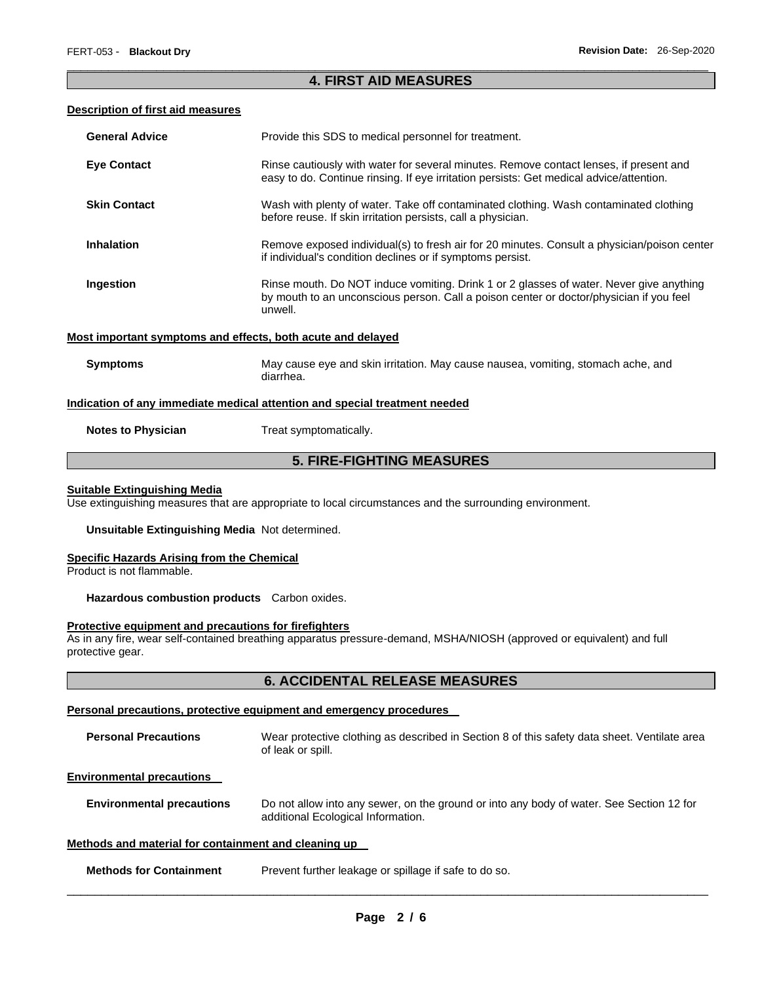### \_\_\_\_\_\_\_\_\_\_\_\_\_\_\_\_\_\_\_\_\_\_\_\_\_\_\_\_\_\_\_\_\_\_\_\_\_\_\_\_\_\_\_\_\_\_\_\_\_\_\_\_\_\_\_\_\_\_\_\_\_\_\_\_\_\_\_\_\_\_\_\_\_\_\_\_\_\_\_\_\_\_\_\_\_\_\_\_\_\_\_\_\_ **4. FIRST AID MEASURES**

#### **Description of first aid measures**

| <b>General Advice</b>                                       | Provide this SDS to medical personnel for treatment.                                                                                                                                          |
|-------------------------------------------------------------|-----------------------------------------------------------------------------------------------------------------------------------------------------------------------------------------------|
| <b>Eye Contact</b>                                          | Rinse cautiously with water for several minutes. Remove contact lenses, if present and<br>easy to do. Continue rinsing. If eye irritation persists: Get medical advice/attention.             |
| <b>Skin Contact</b>                                         | Wash with plenty of water. Take off contaminated clothing. Wash contaminated clothing<br>before reuse. If skin irritation persists, call a physician.                                         |
| <b>Inhalation</b>                                           | Remove exposed individual(s) to fresh air for 20 minutes. Consult a physician/poison center<br>if individual's condition declines or if symptoms persist.                                     |
| Ingestion                                                   | Rinse mouth. Do NOT induce vomiting. Drink 1 or 2 glasses of water. Never give anything<br>by mouth to an unconscious person. Call a poison center or doctor/physician if you feel<br>unwell. |
| Most important symptoms and effects, both acute and delayed |                                                                                                                                                                                               |
| <b>Symptoms</b>                                             | May cause eye and skin irritation. May cause nausea, vomiting, stomach ache, and<br>diarrhea.                                                                                                 |
|                                                             | Indication of any immediate medical attention and special treatment needed                                                                                                                    |
| <b>Notes to Physician</b>                                   | Treat symptomatically.                                                                                                                                                                        |

# **5. FIRE-FIGHTING MEASURES**

#### **Suitable Extinguishing Media**

Use extinguishing measures that are appropriate to local circumstances and the surrounding environment.

**Unsuitable Extinguishing Media** Not determined.

#### **Specific Hazards Arising from the Chemical**

Product is not flammable.

**Hazardous combustion products** Carbon oxides.

# **Protective equipment and precautions for firefighters**

As in any fire, wear self-contained breathing apparatus pressure-demand, MSHA/NIOSH (approved or equivalent) and full protective gear.

# **6. ACCIDENTAL RELEASE MEASURES**

#### **Personal precautions, protective equipment and emergency procedures**

| <b>Personal Precautions</b> | Wear protective clothing as described in Section 8 of this safety data sheet. Ventilate area |
|-----------------------------|----------------------------------------------------------------------------------------------|
|                             | of leak or spill.                                                                            |

#### **Environmental precautions**

| <b>Environmental precautions</b> | Do not allow into any sewer, on the ground or into any body of water. See Section 12 for |
|----------------------------------|------------------------------------------------------------------------------------------|
|                                  | additional Ecological Information.                                                       |

#### **Methods and material for containment and cleaning up**

| <b>Methods for Containment</b> | Prevent further leakage or spillage if safe to do so. |
|--------------------------------|-------------------------------------------------------|
|--------------------------------|-------------------------------------------------------|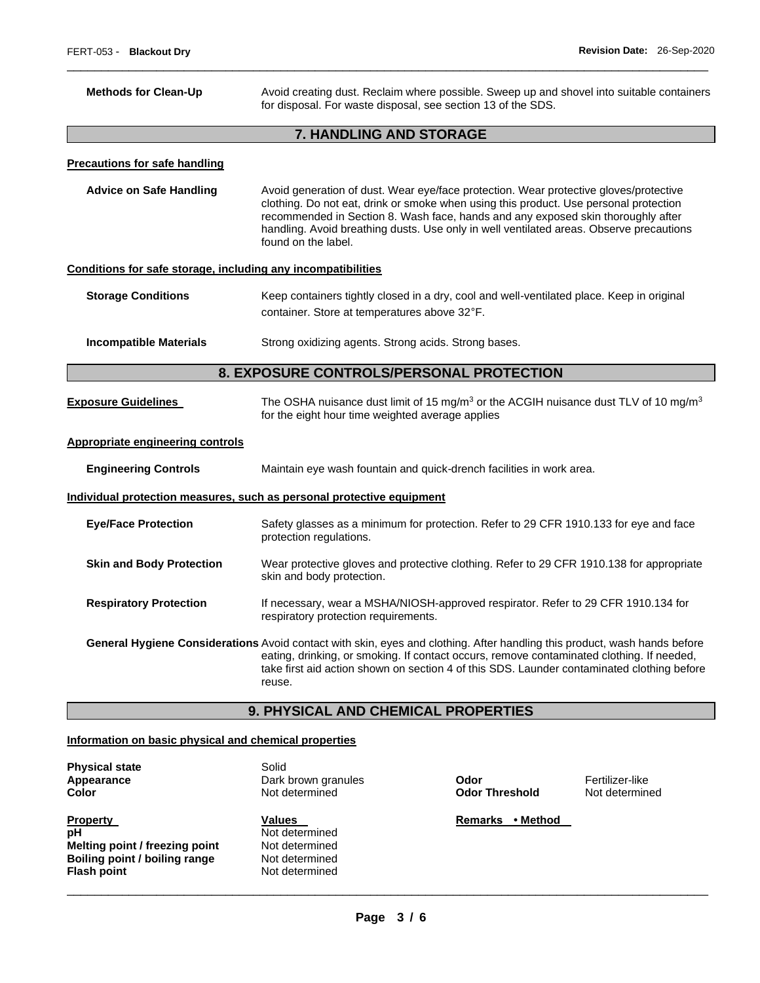| <b>Methods for Clean-Up</b>                                  | Avoid creating dust. Reclaim where possible. Sweep up and shovel into suitable containers<br>for disposal. For waste disposal, see section 13 of the SDS.                                                                                                                                                                                                                            |  |
|--------------------------------------------------------------|--------------------------------------------------------------------------------------------------------------------------------------------------------------------------------------------------------------------------------------------------------------------------------------------------------------------------------------------------------------------------------------|--|
|                                                              | 7. HANDLING AND STORAGE                                                                                                                                                                                                                                                                                                                                                              |  |
| <b>Precautions for safe handling</b>                         |                                                                                                                                                                                                                                                                                                                                                                                      |  |
| <b>Advice on Safe Handling</b>                               | Avoid generation of dust. Wear eye/face protection. Wear protective gloves/protective<br>clothing. Do not eat, drink or smoke when using this product. Use personal protection<br>recommended in Section 8. Wash face, hands and any exposed skin thoroughly after<br>handling. Avoid breathing dusts. Use only in well ventilated areas. Observe precautions<br>found on the label. |  |
| Conditions for safe storage, including any incompatibilities |                                                                                                                                                                                                                                                                                                                                                                                      |  |
| <b>Storage Conditions</b>                                    | Keep containers tightly closed in a dry, cool and well-ventilated place. Keep in original<br>container. Store at temperatures above 32°F.                                                                                                                                                                                                                                            |  |
| <b>Incompatible Materials</b>                                | Strong oxidizing agents. Strong acids. Strong bases.                                                                                                                                                                                                                                                                                                                                 |  |
| 8. EXPOSURE CONTROLS/PERSONAL PROTECTION                     |                                                                                                                                                                                                                                                                                                                                                                                      |  |
| <b>Exposure Guidelines</b>                                   | The OSHA nuisance dust limit of 15 mg/m <sup>3</sup> or the ACGIH nuisance dust TLV of 10 mg/m <sup>3</sup><br>for the eight hour time weighted average applies                                                                                                                                                                                                                      |  |
| <b>Appropriate engineering controls</b>                      |                                                                                                                                                                                                                                                                                                                                                                                      |  |
| <b>Engineering Controls</b>                                  | Maintain eye wash fountain and quick-drench facilities in work area.                                                                                                                                                                                                                                                                                                                 |  |
|                                                              | Individual protection measures, such as personal protective equipment                                                                                                                                                                                                                                                                                                                |  |
| <b>Eye/Face Protection</b>                                   | Safety glasses as a minimum for protection. Refer to 29 CFR 1910.133 for eye and face<br>protection regulations.                                                                                                                                                                                                                                                                     |  |
| <b>Skin and Body Protection</b>                              | Wear protective gloves and protective clothing. Refer to 29 CFR 1910.138 for appropriate<br>skin and body protection.                                                                                                                                                                                                                                                                |  |
| <b>Respiratory Protection</b>                                | If necessary, wear a MSHA/NIOSH-approved respirator. Refer to 29 CFR 1910.134 for<br>respiratory protection requirements.                                                                                                                                                                                                                                                            |  |
|                                                              | General Hygiene Considerations Avoid contact with skin, eyes and clothing. After handling this product, wash hands before<br>eating, drinking, or smoking. If contact occurs, remove contaminated clothing. If needed,<br>take first aid action shown on section 4 of this SDS. Launder contaminated clothing before<br>reuse.                                                       |  |
|                                                              | <b>9. PHYSICAL AND CHEMICAL PROPERTIES</b>                                                                                                                                                                                                                                                                                                                                           |  |

\_\_\_\_\_\_\_\_\_\_\_\_\_\_\_\_\_\_\_\_\_\_\_\_\_\_\_\_\_\_\_\_\_\_\_\_\_\_\_\_\_\_\_\_\_\_\_\_\_\_\_\_\_\_\_\_\_\_\_\_\_\_\_\_\_\_\_\_\_\_\_\_\_\_\_\_\_\_\_\_\_\_\_\_\_\_\_\_\_\_\_\_\_

# **Information on basic physical and chemical properties**

| <b>Physical state</b><br>Appearance<br>Color | Solid<br>Dark brown granules<br>Not determined | Odor<br><b>Odor Threshold</b> | Fertilizer-like<br>Not determined |
|----------------------------------------------|------------------------------------------------|-------------------------------|-----------------------------------|
| <b>Property</b>                              | Values                                         | • Method<br><b>Remarks</b>    |                                   |
| рH                                           | Not determined                                 |                               |                                   |
| Melting point / freezing point               | Not determined                                 |                               |                                   |
| Boiling point / boiling range                | Not determined                                 |                               |                                   |
| <b>Flash point</b>                           | Not determined                                 |                               |                                   |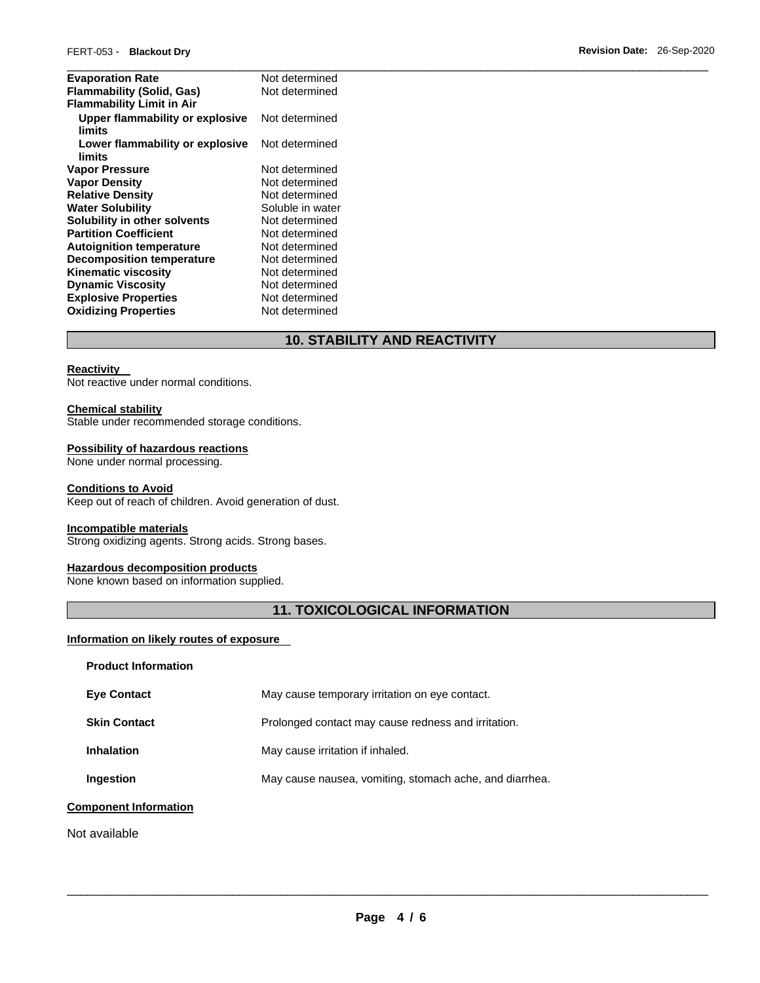| Not determined   |
|------------------|
| Not determined   |
|                  |
| Not determined   |
| Not determined   |
| Not determined   |
| Not determined   |
| Not determined   |
| Soluble in water |
| Not determined   |
| Not determined   |
| Not determined   |
| Not determined   |
| Not determined   |
| Not determined   |
| Not determined   |
| Not determined   |
|                  |

# **10. STABILITY AND REACTIVITY**

# **Reactivity**

Not reactive under normal conditions.

#### **Chemical stability**

Stable under recommended storage conditions.

#### **Possibility of hazardous reactions**

None under normal processing.

#### **Conditions to Avoid**

Keep out of reach of children. Avoid generation of dust.

### **Incompatible materials**

Strong oxidizing agents. Strong acids. Strong bases.

# **Hazardous decomposition products**

None known based on information supplied.

# **11. TOXICOLOGICAL INFORMATION**

# **Information on likely routes of exposure**

| <b>Product Information</b>   |                                                         |
|------------------------------|---------------------------------------------------------|
| <b>Eve Contact</b>           | May cause temporary irritation on eye contact.          |
| <b>Skin Contact</b>          | Prolonged contact may cause redness and irritation.     |
| <b>Inhalation</b>            | May cause irritation if inhaled.                        |
| Ingestion                    | May cause nausea, vomiting, stomach ache, and diarrhea. |
| <b>Component Information</b> |                                                         |
| Not available                |                                                         |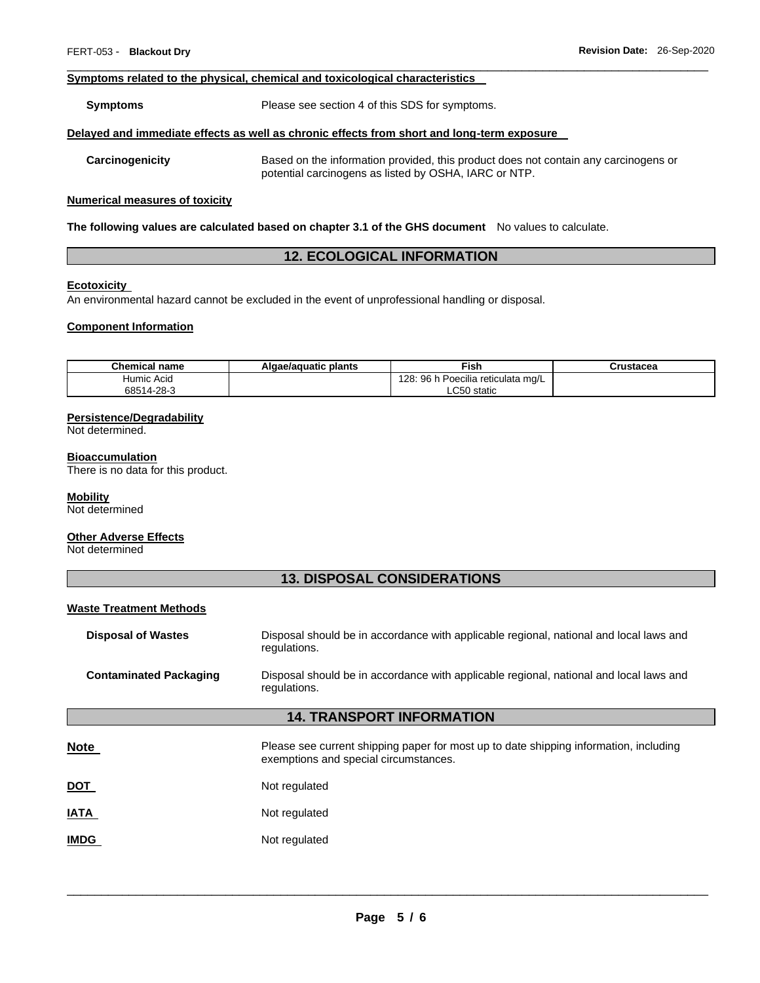#### **Symptoms related to the physical, chemical and toxicological characteristics**

**Symptoms** Please see section 4 of this SDS for symptoms.

#### **Delayed and immediate effects as well as chronic effects from short and long-term exposure**

**Carcinogenicity** Based on the information provided, this product does not contain any carcinogens or potential carcinogens as listed by OSHA, IARC or NTP.

#### **Numerical measures of toxicity**

**The following values are calculated based on chapter 3.1 of the GHS document** No values to calculate.

# **12. ECOLOGICAL INFORMATION**

\_\_\_\_\_\_\_\_\_\_\_\_\_\_\_\_\_\_\_\_\_\_\_\_\_\_\_\_\_\_\_\_\_\_\_\_\_\_\_\_\_\_\_\_\_\_\_\_\_\_\_\_\_\_\_\_\_\_\_\_\_\_\_\_\_\_\_\_\_\_\_\_\_\_\_\_\_\_\_\_\_\_\_\_\_\_\_\_\_\_\_\_\_

#### **Ecotoxicity**

An environmental hazard cannot be excluded in the event of unprofessional handling or disposal.

#### **Component Information**

| <b>Chemical name</b> | Algae/aguatic plants | Fish                                                      | Crustacea |
|----------------------|----------------------|-----------------------------------------------------------|-----------|
| Humic Acid           |                      | ↑ h Poecilia reticulata mg/L<br>28 <sub>i</sub><br>96 h I |           |
| 68514-28-3           |                      | LC50 static                                               |           |

#### **Persistence/Degradability**

Not determined.

#### **Bioaccumulation**

There is no data for this product.

#### **Mobility**

Not determined

#### **Other Adverse Effects**

Not determined

# **13. DISPOSAL CONSIDERATIONS**

### **Waste Treatment Methods**

| <b>Disposal of Wastes</b>        | Disposal should be in accordance with applicable regional, national and local laws and<br>regulations. |  |
|----------------------------------|--------------------------------------------------------------------------------------------------------|--|
| <b>Contaminated Packaging</b>    | Disposal should be in accordance with applicable regional, national and local laws and<br>regulations. |  |
| <b>14. TRANSPORT INFORMATION</b> |                                                                                                        |  |

| <b>Note</b> | Please see current shipping paper for most up to date shipping information, including |
|-------------|---------------------------------------------------------------------------------------|
|             | exemptions and special circumstances.                                                 |
|             |                                                                                       |

**IATA** Not regulated

**IMDG** Not regulated